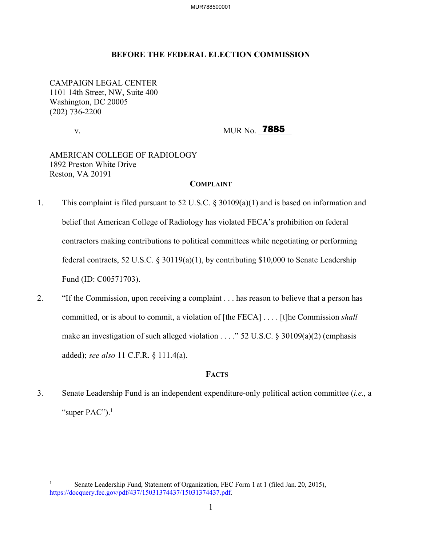### **BEFORE THE FEDERAL ELECTION COMMISSION**

CAMPAIGN LEGAL CENTER 1101 14th Street, NW, Suite 400 Washington, DC 20005 (202) 736-2200

v. MUR No. **7885** 

# AMERICAN COLLEGE OF RADIOLOGY 1892 Preston White Drive Reston, VA 20191

### **COMPLAINT**

- 1. This complaint is filed pursuant to 52 U.S.C. § 30109(a)(1) and is based on information and belief that American College of Radiology has violated FECA's prohibition on federal contractors making contributions to political committees while negotiating or performing federal contracts, 52 U.S.C. § 30119(a)(1), by contributing \$10,000 to Senate Leadership Fund (ID: C00571703).
- 2. "If the Commission, upon receiving a complaint . . . has reason to believe that a person has committed, or is about to commit, a violation of [the FECA] . . . . [t]he Commission *shall* make an investigation of such alleged violation . . . ." 52 U.S.C. § 30109(a)(2) (emphasis added); *see also* 11 C.F.R. § 111.4(a).

### **FACTS**

3. Senate Leadership Fund is an independent expenditure-only political action committee (*i.e.*, a "super  $PAC$ ").<sup>1</sup>

Senate Leadership Fund, Statement of Organization, FEC Form 1 at 1 (filed Jan. 20, 2015), https://docquery.fec.gov/pdf/437/15031374437/15031374437.pdf.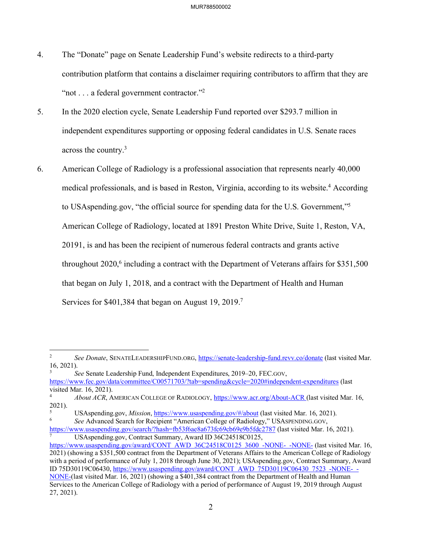- 4. The "Donate" page on Senate Leadership Fund's website redirects to a third-party contribution platform that contains a disclaimer requiring contributors to affirm that they are "not . . . a federal government contractor."<sup>2</sup>
- 5. In the 2020 election cycle, Senate Leadership Fund reported over \$293.7 million in independent expenditures supporting or opposing federal candidates in U.S. Senate races across the country.3
- 6. American College of Radiology is a professional association that represents nearly 40,000 medical professionals, and is based in Reston, Virginia, according to its website.<sup>4</sup> According to USAspending.gov, "the official source for spending data for the U.S. Government,"5 American College of Radiology, located at 1891 Preston White Drive, Suite 1, Reston, VA, 20191, is and has been the recipient of numerous federal contracts and grants active throughout  $2020$ <sup>6</sup> including a contract with the Department of Veterans affairs for \$351,500 that began on July 1, 2018, and a contract with the Department of Health and Human Services for \$401,384 that began on August 19, 2019.<sup>7</sup>

3 *See* Senate Leadership Fund, Independent Expenditures, 2019–20, FEC.GOV, https://www.fec.gov/data/committee/C00571703/?tab=spending&cycle=2020#independent-expenditures (last visited Mar. 16, 2021).

<sup>2</sup> *See Donate*, SENATELEADERSHIPFUND.ORG, https://senate-leadership-fund.revv.co/donate (last visited Mar. 16, 2021).

<sup>4</sup> *About ACR*, AMERICAN COLLEGE OF RADIOLOGY, https://www.acr.org/About-ACR (last visited Mar. 16, 2021).

<sup>5</sup> USAspending.gov, *Mission*, https://www.usaspending.gov/#/about (last visited Mar. 16, 2021). *See* Advanced Search for Recipient "American College of Radiology," USASPENDING.GOV,

https://www.usaspending.gov/search/?hash=fb53f6ae8a673fc69cb69e9b5fdc2787 (last visited Mar. 16, 2021). USAspending.gov, Contract Summary, Award ID 36C24518C0125,

https://www.usaspending.gov/award/CONT AWD 36C24518C0125 3600 -NONE- -NONE- (last visited Mar. 16, 2021) (showing a \$351,500 contract from the Department of Veterans Affairs to the American College of Radiology with a period of performance of July 1, 2018 through June 30, 2021); USAspending.gov, Contract Summary, Award ID 75D30119C06430, https://www.usaspending.gov/award/CONT AWD 75D30119C06430 7523 -NONE- - NONE-(last visited Mar. 16, 2021) (showing a \$401,384 contract from the Department of Health and Human Services to the American College of Radiology with a period of performance of August 19, 2019 through August 27, 2021).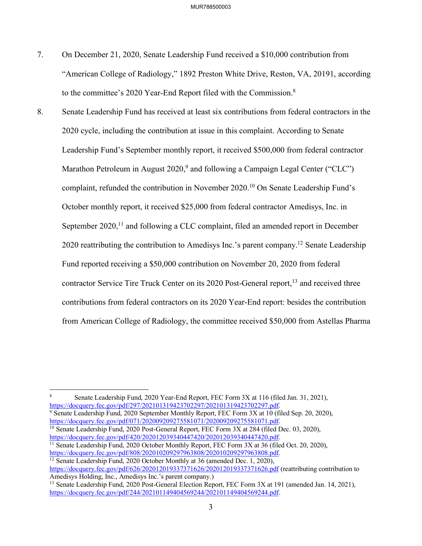- 7. On December 21, 2020, Senate Leadership Fund received a \$10,000 contribution from "American College of Radiology," 1892 Preston White Drive, Reston, VA, 20191, according to the committee's 2020 Year-End Report filed with the Commission.8
- 8. Senate Leadership Fund has received at least six contributions from federal contractors in the 2020 cycle, including the contribution at issue in this complaint. According to Senate Leadership Fund's September monthly report, it received \$500,000 from federal contractor Marathon Petroleum in August  $2020$ ,<sup>9</sup> and following a Campaign Legal Center ("CLC") complaint, refunded the contribution in November 2020.10 On Senate Leadership Fund's October monthly report, it received \$25,000 from federal contractor Amedisys, Inc. in September 2020,<sup>11</sup> and following a CLC complaint, filed an amended report in December 2020 reattributing the contribution to Amedisys Inc.'s parent company.<sup>12</sup> Senate Leadership Fund reported receiving a \$50,000 contribution on November 20, 2020 from federal contractor Service Tire Truck Center on its 2020 Post-General report,<sup>13</sup> and received three contributions from federal contractors on its 2020 Year-End report: besides the contribution from American College of Radiology, the committee received \$50,000 from Astellas Pharma

 

<sup>9</sup> Senate Leadership Fund, 2020 September Monthly Report, FEC Form 3X at  $10$  (filed Sep. 20, 2020), https://docquery.fec.gov/pdf/071/202009209275581071/202009209275581071.pdf.

<sup>11</sup> Senate Leadership Fund, 2020 October Monthly Report, FEC Form 3X at 36 (filed Oct. 20, 2020), https://docquery.fec.gov/pdf/808/202010209297963808/202010209297963808.pdf.

<sup>12</sup> Senate Leadership Fund, 2020 October Monthly at 36 (amended Dec. 1, 2020), https://docquery.fec.gov/pdf/626/202012019337371626/202012019337371626.pdf (reattributing contribution to<br>Amedisys Holding, Inc., Amedisys Inc.'s parent company.)

<sup>8</sup> Senate Leadership Fund, 2020 Year-End Report, FEC Form 3X at 116 (filed Jan. 31, 2021), https://docquery.fec.gov/pdf/297/202101319423702297/202101319423702297.pdf.

<sup>&</sup>lt;sup>10</sup> Senate Leadership Fund, 2020 Post-General Report, FEC Form 3X at 284 (filed Dec. 03, 2020), https://docquery.fec.gov/pdf/420/202012039340447420/202012039340447420.pdf.

<sup>&</sup>lt;sup>13</sup> Senate Leadership Fund, 2020 Post-General Election Report, FEC Form  $3X$  at 191 (amended Jan. 14, 2021), https://docquery.fec.gov/pdf/244/202101149404569244/202101149404569244.pdf.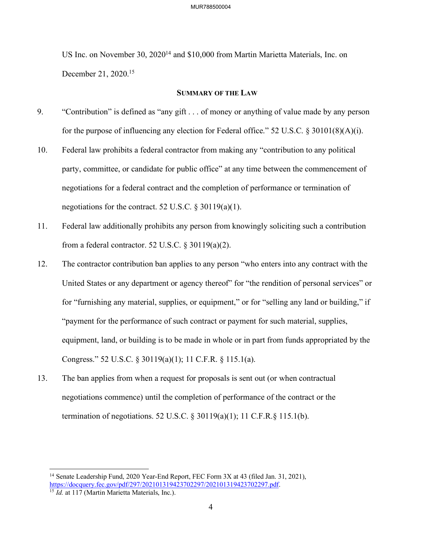US Inc. on November 30, 202014 and \$10,000 from Martin Marietta Materials, Inc. on December 21, 2020.15

### **SUMMARY OF THE LAW**

- 9. "Contribution" is defined as "any gift . . . of money or anything of value made by any person for the purpose of influencing any election for Federal office." 52 U.S.C. § 30101(8)(A)(i).
- 10. Federal law prohibits a federal contractor from making any "contribution to any political party, committee, or candidate for public office" at any time between the commencement of negotiations for a federal contract and the completion of performance or termination of negotiations for the contract. 52 U.S.C.  $\S 30119(a)(1)$ .
- 11. Federal law additionally prohibits any person from knowingly soliciting such a contribution from a federal contractor. 52 U.S.C.  $\S 30119(a)(2)$ .
- 12. The contractor contribution ban applies to any person "who enters into any contract with the United States or any department or agency thereof" for "the rendition of personal services" or for "furnishing any material, supplies, or equipment," or for "selling any land or building," if "payment for the performance of such contract or payment for such material, supplies, equipment, land, or building is to be made in whole or in part from funds appropriated by the Congress." 52 U.S.C. § 30119(a)(1); 11 C.F.R. § 115.1(a).
- 13. The ban applies from when a request for proposals is sent out (or when contractual negotiations commence) until the completion of performance of the contract or the termination of negotiations. 52 U.S.C. § 30119(a)(1); 11 C.F.R.§ 115.1(b).

<sup>&</sup>lt;sup>14</sup> Senate Leadership Fund, 2020 Year-End Report, FEC Form 3X at 43 (filed Jan. 31, 2021), https://docquery.fec.gov/pdf/297/202101319423702297/202101319423702297.pdf.<br><sup>15</sup> *Id.* at 117 (Martin Marietta Materials, Inc.).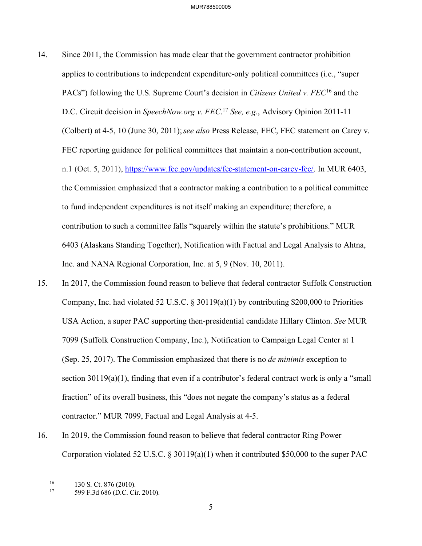- 14. Since 2011, the Commission has made clear that the government contractor prohibition applies to contributions to independent expenditure-only political committees (i.e., "super PACs") following the U.S. Supreme Court's decision in *Citizens United v. FEC*16 and the D.C. Circuit decision in *SpeechNow.org v. FEC*. <sup>17</sup> *See, e.g.*, Advisory Opinion 2011-11 (Colbert) at 4-5, 10 (June 30, 2011);*see also* Press Release, FEC, FEC statement on Carey v. FEC reporting guidance for political committees that maintain a non-contribution account, n.1 (Oct. 5, 2011), https://www.fec.gov/updates/fec-statement-on-carey-fec/. In MUR 6403, the Commission emphasized that a contractor making a contribution to a political committee to fund independent expenditures is not itself making an expenditure; therefore, a contribution to such a committee falls "squarely within the statute's prohibitions." MUR 6403 (Alaskans Standing Together), Notification with Factual and Legal Analysis to Ahtna, Inc. and NANA Regional Corporation, Inc. at 5, 9 (Nov. 10, 2011).
- 15. In 2017, the Commission found reason to believe that federal contractor Suffolk Construction Company, Inc. had violated 52 U.S.C.  $\S$  30119(a)(1) by contributing \$200,000 to Priorities USA Action, a super PAC supporting then-presidential candidate Hillary Clinton. *See* MUR 7099 (Suffolk Construction Company, Inc.), Notification to Campaign Legal Center at 1 (Sep. 25, 2017). The Commission emphasized that there is no *de minimis* exception to section 30119(a)(1), finding that even if a contributor's federal contract work is only a "small fraction" of its overall business, this "does not negate the company's status as a federal contractor." MUR 7099, Factual and Legal Analysis at 4-5.
- 16. In 2019, the Commission found reason to believe that federal contractor Ring Power Corporation violated 52 U.S.C. § 30119(a)(1) when it contributed \$50,000 to the super PAC

 <sup>16</sup> 130 S. Ct. 876 (2010).<br><sup>17</sup> 500 E 3d 686 (D.C. Ci

<sup>599</sup> F.3d 686 (D.C. Cir. 2010).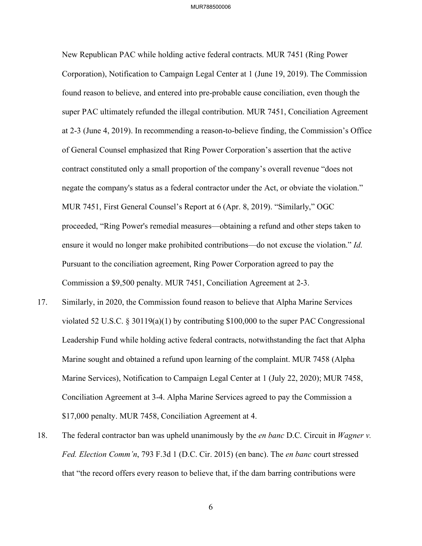New Republican PAC while holding active federal contracts. MUR 7451 (Ring Power Corporation), Notification to Campaign Legal Center at 1 (June 19, 2019). The Commission found reason to believe, and entered into pre-probable cause conciliation, even though the super PAC ultimately refunded the illegal contribution. MUR 7451, Conciliation Agreement at 2-3 (June 4, 2019). In recommending a reason-to-believe finding, the Commission's Office of General Counsel emphasized that Ring Power Corporation's assertion that the active contract constituted only a small proportion of the company's overall revenue "does not negate the company's status as a federal contractor under the Act, or obviate the violation." MUR 7451, First General Counsel's Report at 6 (Apr. 8, 2019). "Similarly," OGC proceeded, "Ring Power's remedial measures—obtaining a refund and other steps taken to ensure it would no longer make prohibited contributions—do not excuse the violation." *Id*. Pursuant to the conciliation agreement, Ring Power Corporation agreed to pay the Commission a \$9,500 penalty. MUR 7451, Conciliation Agreement at 2-3.

- 17. Similarly, in 2020, the Commission found reason to believe that Alpha Marine Services violated 52 U.S.C. § 30119(a)(1) by contributing \$100,000 to the super PAC Congressional Leadership Fund while holding active federal contracts, notwithstanding the fact that Alpha Marine sought and obtained a refund upon learning of the complaint. MUR 7458 (Alpha Marine Services), Notification to Campaign Legal Center at 1 (July 22, 2020); MUR 7458, Conciliation Agreement at 3-4. Alpha Marine Services agreed to pay the Commission a \$17,000 penalty. MUR 7458, Conciliation Agreement at 4.
- 18. The federal contractor ban was upheld unanimously by the *en banc* D.C. Circuit in *Wagner v. Fed. Election Comm'n*, 793 F.3d 1 (D.C. Cir. 2015) (en banc). The *en banc* court stressed that "the record offers every reason to believe that, if the dam barring contributions were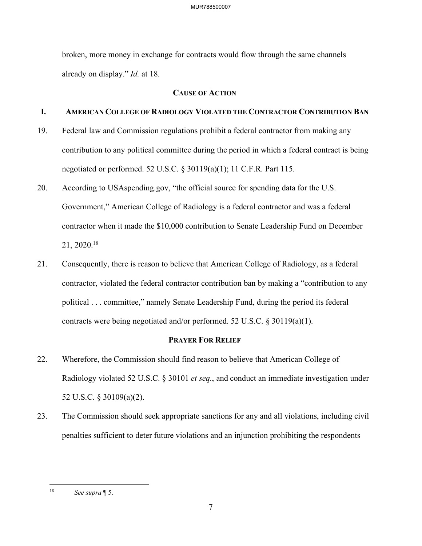broken, more money in exchange for contracts would flow through the same channels already on display." *Id.* at 18.

### **CAUSE OF ACTION**

## **I. AMERICAN COLLEGE OF RADIOLOGY VIOLATED THE CONTRACTOR CONTRIBUTION BAN**

- 19. Federal law and Commission regulations prohibit a federal contractor from making any contribution to any political committee during the period in which a federal contract is being negotiated or performed. 52 U.S.C. § 30119(a)(1); 11 C.F.R. Part 115.
- 20. According to USAspending.gov, "the official source for spending data for the U.S. Government," American College of Radiology is a federal contractor and was a federal contractor when it made the \$10,000 contribution to Senate Leadership Fund on December 21, 2020.18
- 21. Consequently, there is reason to believe that American College of Radiology, as a federal contractor, violated the federal contractor contribution ban by making a "contribution to any political . . . committee," namely Senate Leadership Fund, during the period its federal contracts were being negotiated and/or performed. 52 U.S.C. § 30119(a)(1).

### **PRAYER FOR RELIEF**

- 22. Wherefore, the Commission should find reason to believe that American College of Radiology violated 52 U.S.C. § 30101 *et seq.*, and conduct an immediate investigation under 52 U.S.C. § 30109(a)(2).
- 23. The Commission should seek appropriate sanctions for any and all violations, including civil penalties sufficient to deter future violations and an injunction prohibiting the respondents

<sup>18</sup> *See supra* ¶ 5.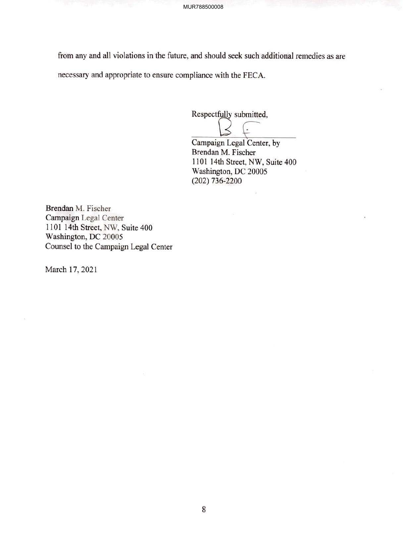from any and all violations in the future, and should seek such additional remedies as are

necessary and appropriate to ensure compliance with the FECA.

Respectfully submitted,

**Campaign Legal Center, by** 

Brendan M. Fischer 1101 14th Street, NW, Suite 400 Washington, DC 20005 (202) 736-2200

Brendan M. Fischer Campaign Legal Center 1101 14th Street, NW, Suite 400 Washington, DC 20005 Counsel to the Campaign Legal Center

March 17, 2021